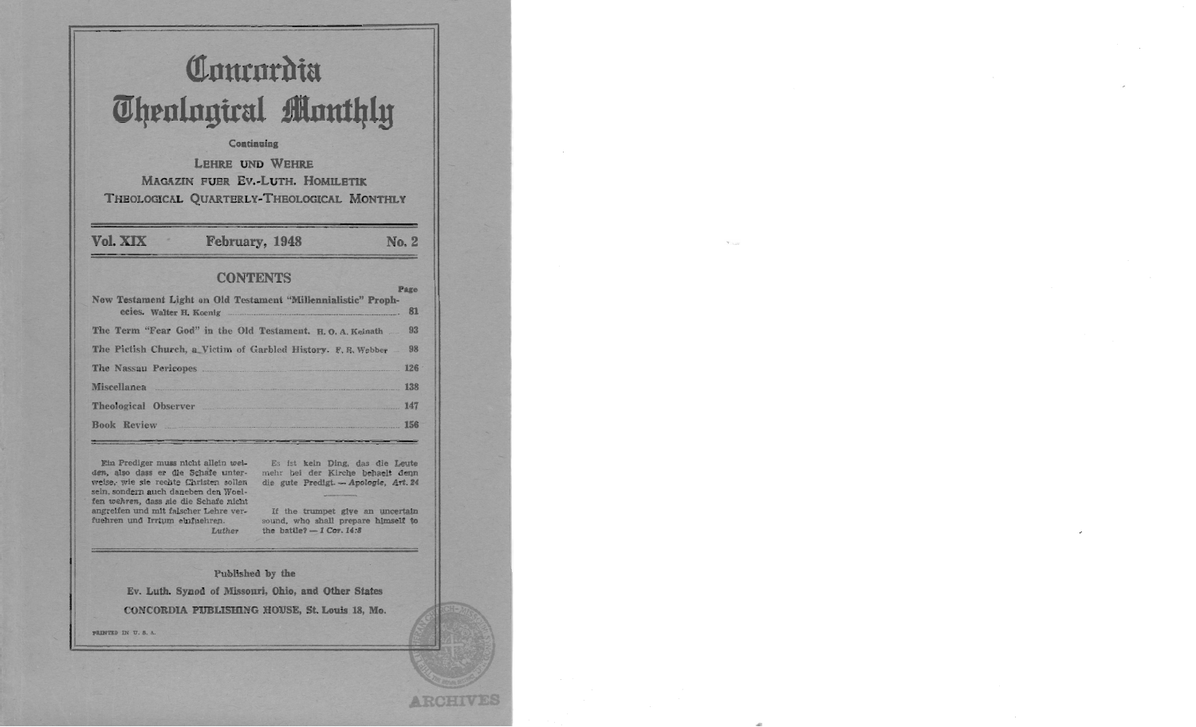# Communita **Theological Monthly**

#### **Continuing**

**LEHRE UND WEHRE** MAGAZIN FUER EV.-LUTH. HOMILETIK THEOLOGICAL QUARTERLY-THEOLOGICAL MONTHLY

Vol. XIX

February, 1948

## No. 2

**ARCHIV** 

## **CONTENTS**

| New Testament Light on Old Testament "Millennialistic" Proph-     | <b>LAKO</b> |
|-------------------------------------------------------------------|-------------|
| ecies. Walter H. Koenig entertainment of the Walter H. Koenig     | 81          |
| The Term "Fear God" in the Old Testament. H.O. A. Keinath  93     |             |
| The Pictish Church, a Victim of Garbled History. F. R. Webber  98 |             |
| The Nassau Pericopes 126                                          |             |
| Miscellanea 138                                                   |             |
| Theological Observer 147                                          |             |
| <b>Book Review</b>                                                | <b>156</b>  |

Ein Prediger muss nicht allein weiden, also dass er die Schafe unterweise, wie sie rechte Christen sollen sein, sondern auch daneben den Woelfen wehren, dass sie die Schafe nicht angreifen und mit falscher Lehre verfuehren und Irrtum einfuehren. Luther

Es ist keln Ding, das die Leute mehr bei der Kirche behaelt denn die gute Predigt. - Apologie, Art. 24

If the trumpet give an uncertain sound, who shall prepare himself to the battle?  $-1$  Cor. 14:8

Published by the

Ev. Luth. Synod of Missouri, Ohio, and Other States CONCORDIA PUBLISHING HOUSE, St. Louis 18, Mo.

PRINTED IN U.S.A.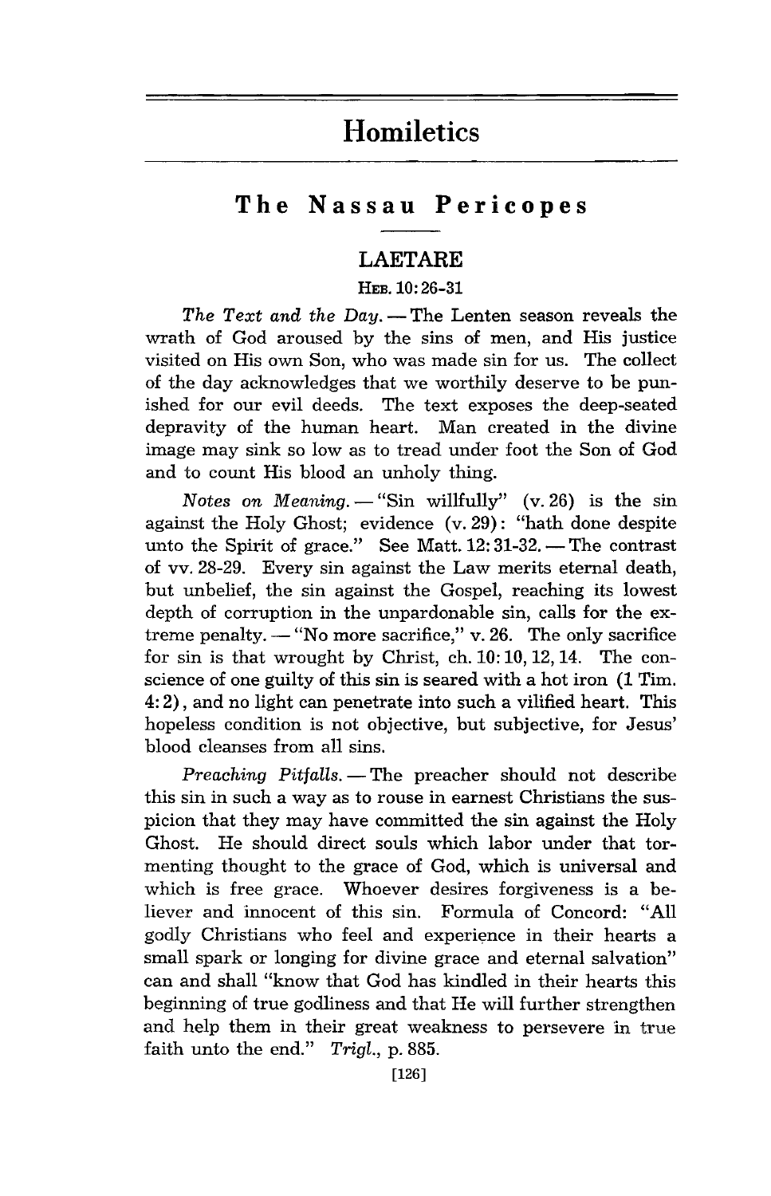## **Homiletics**

## **The Nassau Pericopes**

## **LAETARE**

#### HEB. 10: 26-31

*The Text and the Day.* — The Lenten season reveals the wrath of God aroused by the sins of men, and His justice visited on His own Son, who was made sin for us. The collect of the day acknowledges that we worthily deserve to be punished for our evil deeds. The text exposes the deep-seated depravity of the human heart. Man created in the divine image may sink so low as to tread under foot the Son of God and to count His blood an unholy thing.

*Notes on Meaning.*  $-$  "Sin willfully" (v. 26) is the sin against the Holy Ghost; evidence (v. 29): "hath done despite unto the Spirit of grace." See Matt.  $12:31-32$ . --The contrast of vv. 28-29. Every sin against the Law merits eternal death, but unbelief, the sin against the Gospel, reaching its lowest depth of corruption in the unpardonable sin, calls for the extreme penalty.  $-$  "No more sacrifice," v. 26. The only sacrifice for sin is that wrought by Christ, ch.10: 10,12,14. The conscience of one guilty of this sin is seared with a hot iron (1 Tim. 4: 2), and no light can penetrate into such a vilified heart. This hopeless condition is not objective, but subjective, for Jesus' blood cleanses from all sins.

*Preaching Pitfalls.* - The preacher should not describe this sin in such a way as to rouse in earnest Christians the suspicion that they may have committed the sin against the Holy Ghost. He should direct souls which labor under that tormenting thought to the grace of God, which is universal and which is free grace. Whoever desires forgiveness is a believer and innocent of this sin. Formula of Concord: "All godly Christians who feel and experience in their hearts a small spark or longing for divine grace and eternal salvation" can and shall "know that God has kindled in their hearts this beginning of true godliness and that He will further strengthen and help them in their great weakness to persevere in true faith unto the end." *Trigl.,* p. 885.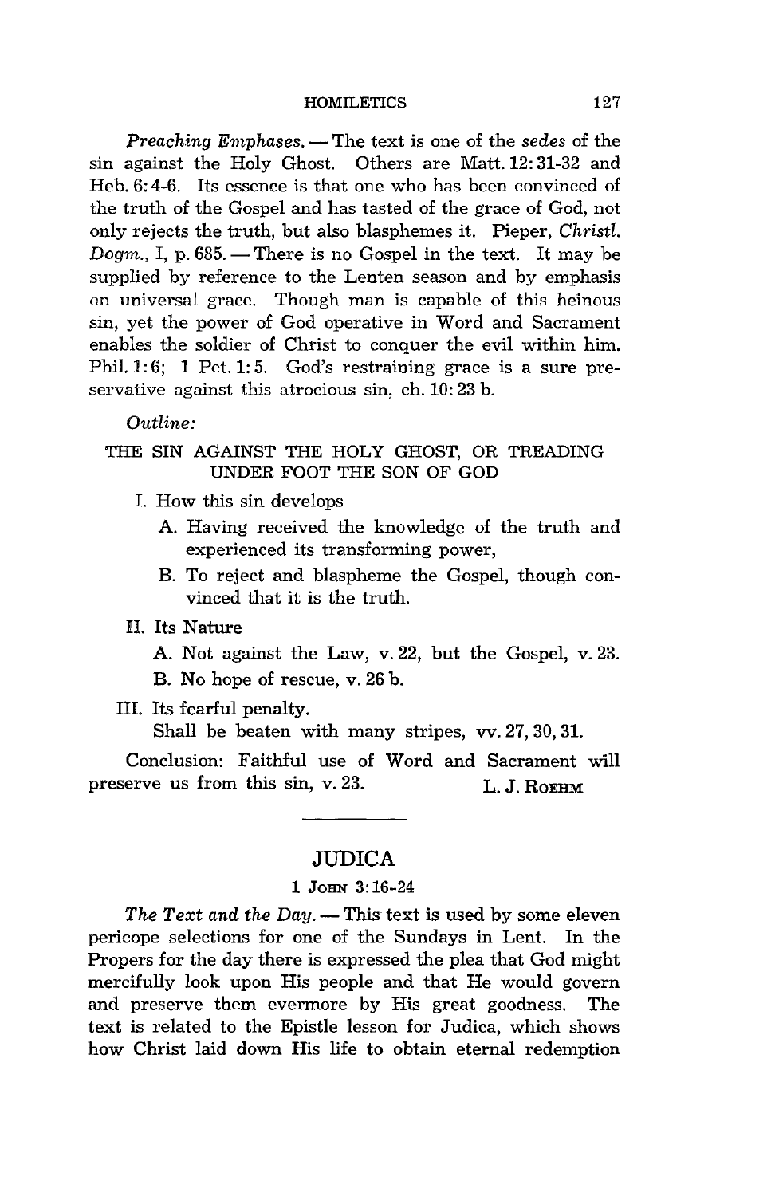*Preaching Emphases.* - The text is one of the *sedes* of the sin against the Holy Ghost. Others are Matt. 12: 31-32 and Heb. 6: 4-6. Its essence is that one who has been convinced of the truth of the Gospel and has tasted of the grace of God, not only rejects the truth, but also blasphemes it. Pieper, *Christl. Dogm., I, p. 685.* - There is no Gospel in the text. It may be supplied by reference to the Lenten season and by emphasis on universal grace. Though man is capable of this heinous sin, yet the power of God operative in Word and Sacrament enables the soldier of Christ to conquer the evil within him. Phil. 1: 6; 1 Pet. 1: 5. God's restraining grace is a sure preservative against this atrocious sin, ch. 10:23 b.

*Outline:* 

#### THE SIN AGAINST THE HOLY GHOST, OR TREADING UNDER FOOT THE SON OF GOD

- :1:. How this sin develops
	- A. Having received the knowledge of the truth and experienced its transforming power,
	- B. To reject and blaspheme the Gospel, though convinced that it is the truth.
- H. Its Nature
	- A. Not against the Law, v.22, but the Gospel, v.23.
	- B. No hope of rescue, v. 26 b.
- HI. Its fearful penalty.

Shall be beaten with many stripes, vv. 27, 30, 31.

Conclusion: Faithful use of Word and Sacrament will preserve us from this sin, v. 23. L. J. ROEHM

## **JUDICA**

#### 1 JOHN 3:16-24

*The Text and the Day.* — This text is used by some eleven pericope selections for one of the Sundays in Lent. In the Propers for the day there is expressed the plea that God might mercifully look upon His people and that He would govern and preserve them evermore by His great goodness. The text is related to the Epistle lesson for Judica, which shows how Christ laid down His life to obtain eternal redemption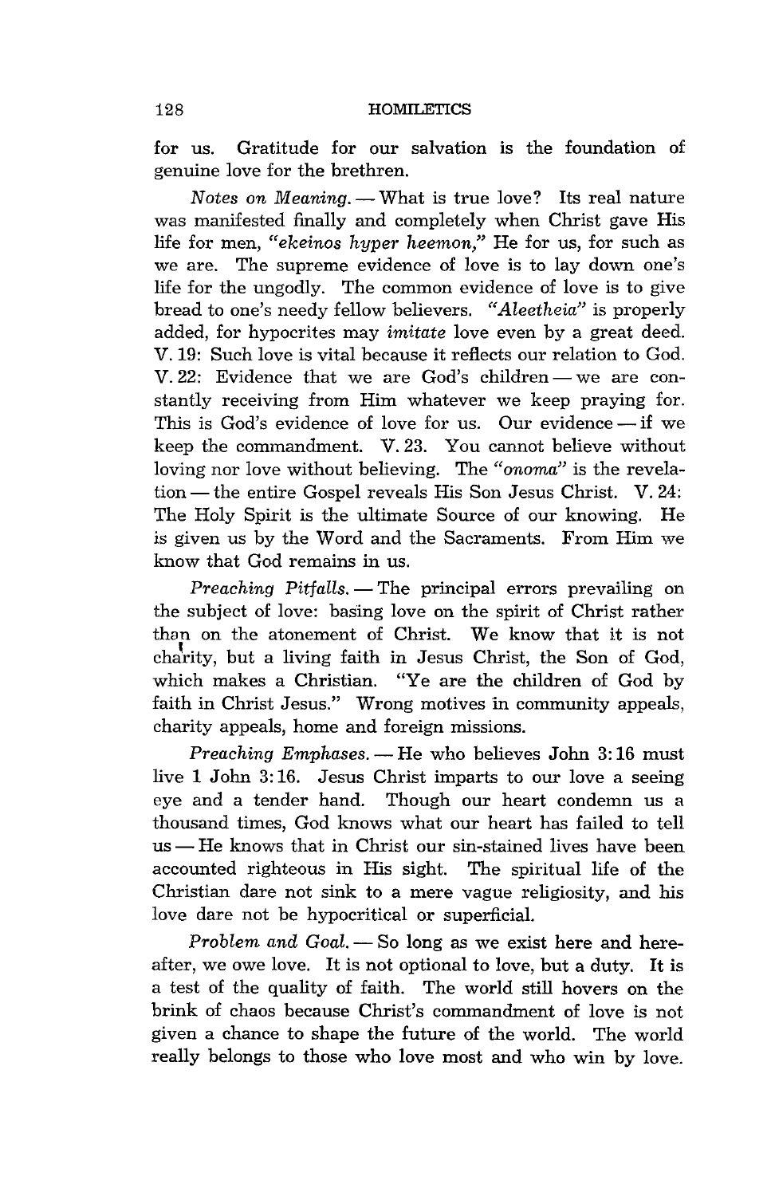for us. Gratitude for our salvation is the foundation of genuine love for the brethren.

*Notes on Meaning.* - What is true love? Its real nature was manifested finally and completely when Christ gave His life for men, *"ekeinos hyper heemon,"* He for us, for such as we are. The supreme evidence of love is to lay down one's life for the ungodly. The common evidence of love is to give bread to one's needy fellow believers. *"Aleetheia"* is properly added, for hypocrites may *imitate* love even by a great deed. V. 19: Such love is vital because it reflects our relation to God.  $V.22$ : Evidence that we are God's children — we are constantly receiving from Him whatever we keep praying for. This is God's evidence of love for us. Our evidence  $-\text{if}$  we keep the commandment. V. 23. You cannot believe without loving nor love without believing. The *"onoma"* is the revelation — the entire Gospel reveals His Son Jesus Christ. V. 24: The Holy Spirit is the ultimate Source of our knowing. He is given us by the Word and the Sacraments. From Him we know that God remains in us.

*Preaching Pitfalls.* - The principal errors prevailing on the subject of love: basing love on the spirit of Christ rather than on the atonement of Christ. We know that it is not charity, but a living faith in Jesus Christ, the Son of God, which makes a Christian. "Ye are the children of God by faith in Christ Jesus." Wrong motives in community appeals, charity appeals, home and foreign missions.

*Preaching Emphases.* - He who believes John 3:16 must live 1 John 3: 16. Jesus Christ imparts to our love a seeing eye and a tender hand. Though our heart condemn us a thousand times, God knows what our heart has failed to tell  $us$ — He knows that in Christ our sin-stained lives have been accounted righteous in His sight. The spiritual life of the Christian dare not sink to a mere vague religiosity, and his love dare not be hypocritical or superficial.

*Problem and Goal.* - So long as we exist here and hereafter, we owe love. It is not optional to love, but a duty. It is a test of the quality of faith. The world still hovers on the brink of chaos because Christ's commandment of love is not given a chance to shape the future of the world. The world really belongs to those who love most and who win by love.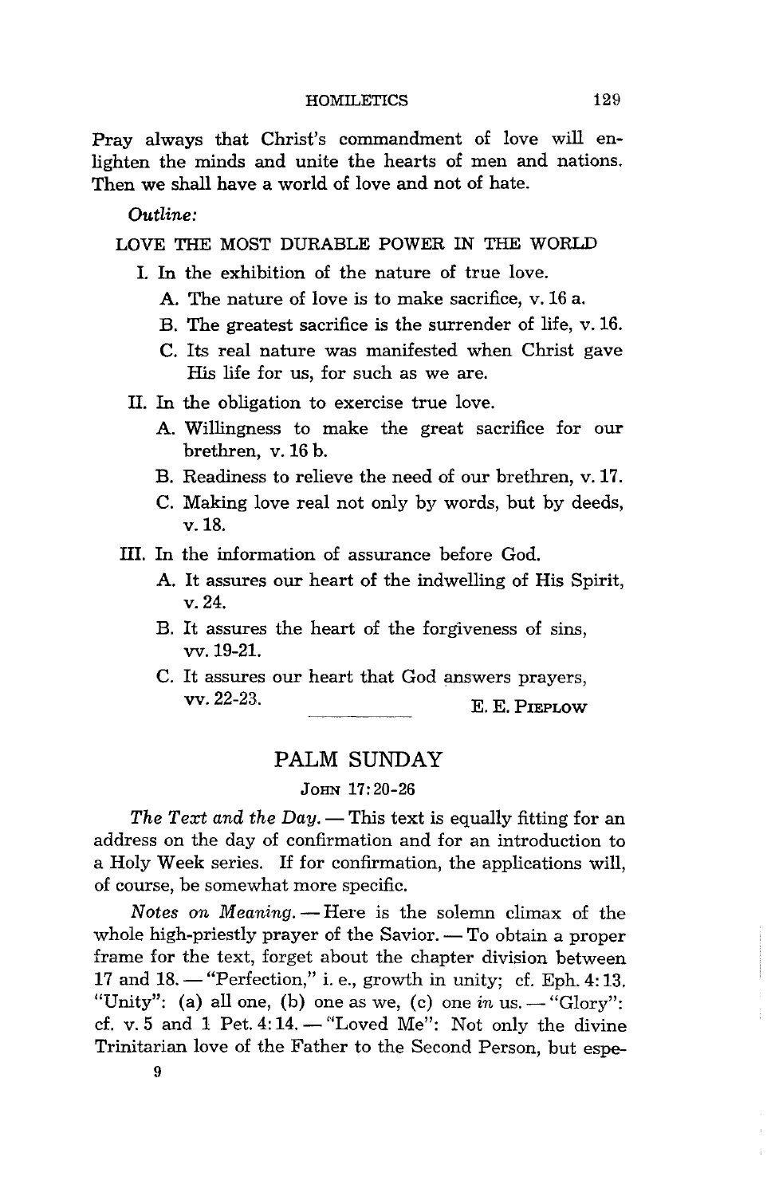Pray always that Christ's commandment of love will enlighten the minds and unite the hearts of men and nations. Then we shall have a world of love and not of hate.

*Outline:* 

LOVE THE MOST DURABLE POWER IN THE WORLD

- I. In the exhibition of the nature of true love.
	- A. The nature of love is to make sacrifice, v. 16 a.
	- B. The greatest sacrifice is the surrender of life, v.16.
	- C. Its real nature was manifested when Christ gave His life for us, for such as we are.
- II. In the obligation to exercise true love.
	- A. Willingness to make the great sacrifice for our brethren, v. 16 b.
	- B. Readiness to relieve the need of our brethren, v.17.
	- C. Making love real not only by words, but by deeds, v.18.
- III. In the information of assurance before God.
	- A. It assures our heart of the indwelling of His Spirit, v.24.
	- B. It assures the heart of the forgiveness of sins, vv.19-21.
	- C. It assures our heart that God answers prayers, vv.22-23. E. E. PIEPLOW

## PALM SUNDAY

#### JOHN 17:20-26

*The Text and the Day.* — This text is equally fitting for an address on the day of confirmation and for an introduction to a Holy Week series. If for confirmation, the applications will, of course, be somewhat more specific.

*Notes on Meaning.* - Here is the solemn climax of the whole high-priestly prayer of the Savior.  $-$  To obtain a proper frame for the text, forget about the chapter division between 17 and 18. - "Perfection," i. e., growth in unity; cf. Eph. 4: 13. "Unity": (a) all one, (b) one as we, (c) one  $in$  us.  $-$  "Glory": cf. v. 5 and 1 Pet. 4:14.  $-$  "Loved Me": Not only the divine Trinitarian love of the Father to the Second Person, but espe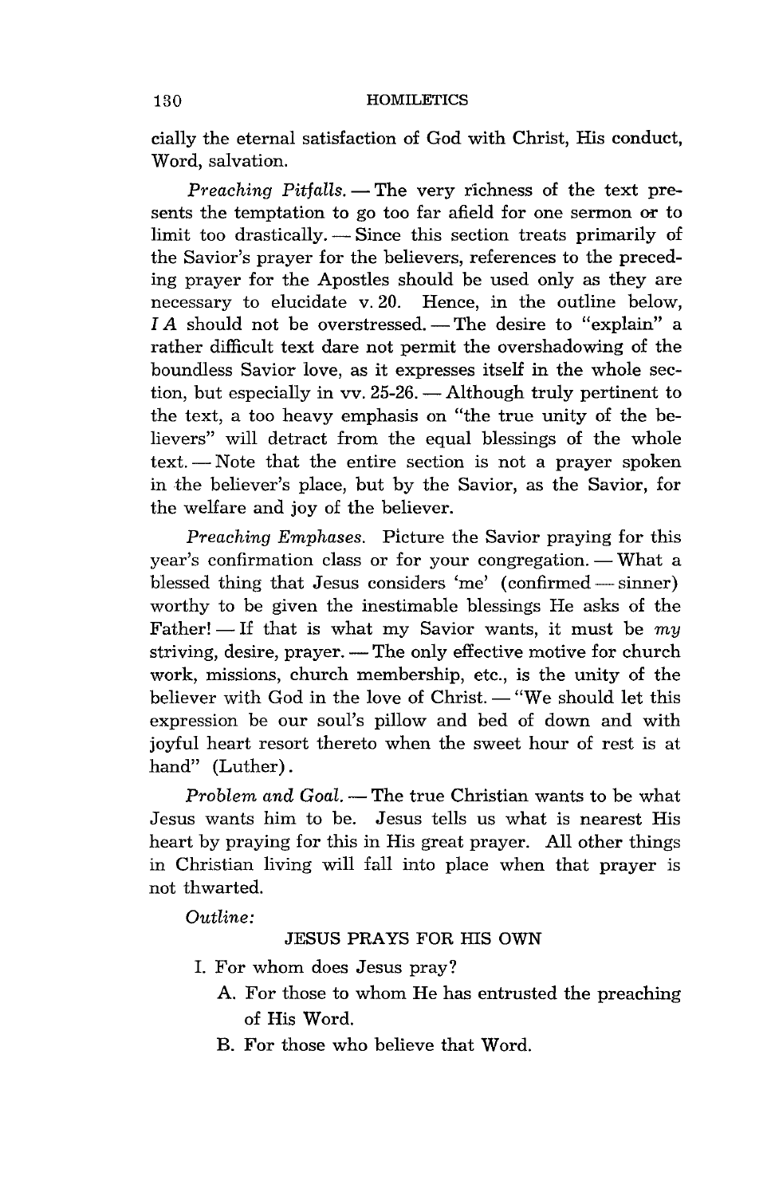cially the eternal satisfaction of God with Christ, His conduct, Word, salvation.

*Preaching Pitfalls.* - The very richness of the text presents the temptation to go too far afield for one sermon or to limit too drastically. - Since this section treats primarily of the Savior's prayer for the believers, references to the preceding prayer for the Apostles should be used only as they are necessary to elucidate v.20. Hence, in the outline below,  $IA$  should not be overstressed. - The desire to "explain" a rather difficult text dare not permit the overshadowing of the boundless Savior love, as it expresses itself in the whole section, but especially in vv.  $25-26$ .  $-$  Although truly pertinent to the text, a too heavy emphasis on "the true unity of the believers" will detract from the equal blessings of the whole text. - Note that the entire section is not a prayer spoken in the believer's place, but by the Savior, as the Savior, for the welfare and joy of the believer.

*Preaching Emphases.* Picture the Savior praying for this year's confirmation class or for your congregation. — What a blessed thing that Jesus considers 'me'  $(confirmed - sinner)$ worthy to be given the inestimable blessings He asks of the Father!  $\equiv$  If that is what my Savior wants, it must be my striving, desire, prayer. — The only effective motive for church work, missions, church membership, etc., is the unity of the believer with God in the love of Christ. - "We should let this expression be our soul's pillow and bed of down and with joyful heart resort thereto when the sweet hour of rest is at hand" (Luther).

*Problem and Goal.* - The true Christian wants to be what Jesus wants him to be. Jesus tells us what is nearest His heart by praying for this in His great prayer. All other things in Christian living will fall into place when that prayer is not thwarted.

*Outline:* 

#### JESUS PRAYS FOR HIS OWN

- 1. For whom does Jesus pray?
	- A. For those to whom He has entrusted the preaching of His Word.
	- B. For those who believe that Word.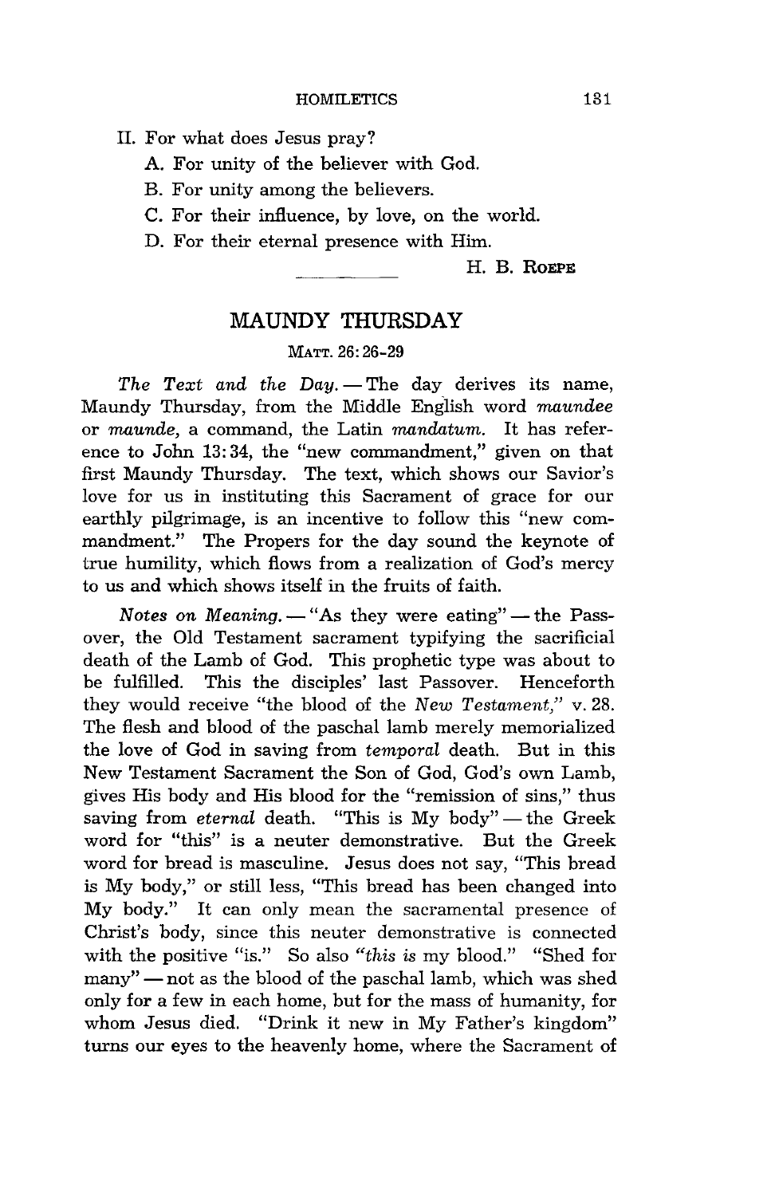- II. For what does Jesus pray?
	- A. For unity of the believer with God.
	- B. For unity among the believers.
	- C. For their influence, by love, on the world.
	- D. For their eternal presence with Him.

H. B. **ROEPE** 

## **MAUNDY THURSDAY**

#### MATT. 26:26-29

*The Text and the Day.* - The day derives its name, Maundy Thursday, from the Middle English word *maundee*  or *maunde,* a command, the Latin *mandatum.* It has reference to John 13: 34, the "new commandment," given on that first Maundy Thursday. The text, which shows our Savior's love for us in instituting this Sacrament of grace for our earthly pilgrimage, is an incentive to follow this "new commandment." The Propers for the day sound the keynote of true humility, which flows from a realization of God's mercy to us and which shows itself in the fruits of faith.

*Notes on Meaning.* - "As they were eating" - the Passover, the Old Testament sacrament typifying the sacrificial death of the Lamb of God. This prophetic type was about to be fulfilled. This the disciples' last Passover. Henceforth they would receive "the blood of the *New Testament,"* v.28. The flesh and blood of the paschal lamb merely memorialized the love of God in saving from *temporal* death. But in this New Testament Sacrament the Son of God, God's own Lamb, gives His body and His blood for the "remission of sins," thus saving from *eternal* death. "This is My body" - the Greek word for "this" is a neuter demonstrative. But the Greek word for bread is masculine. Jesus does not say, "This bread is My body," or still less, "This bread has been changed into My body." It can only mean the sacramental presence of Christ's body, since this neuter demonstrative is connected with the positive "is." So also *"this is* my blood." "Shed for many" - not as the blood of the paschal lamb, which was shed only for a few in each home, but for the mass of humanity, for whom Jesus died. "Drink it new in My Father's kingdom" turns our eyes to the heavenly home, where the Sacrament of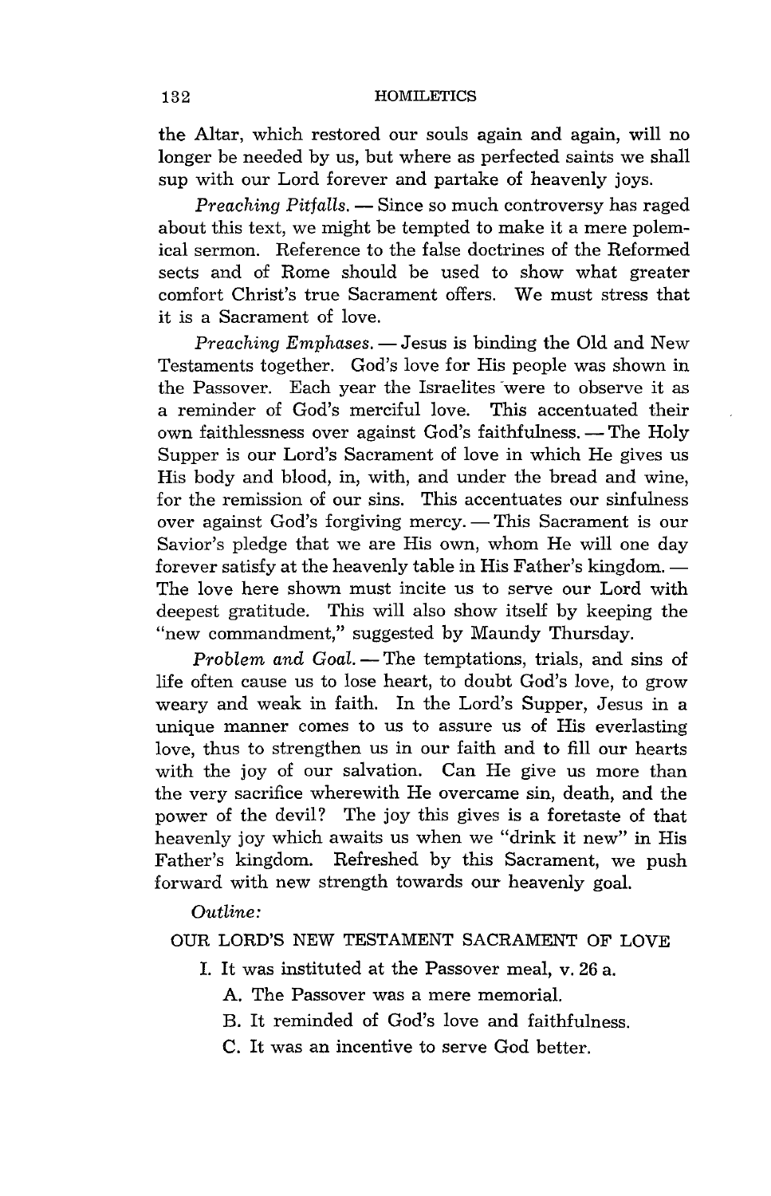the Altar, which restored our souls again and again, will no longer be needed by us, but where as perfected saints we shall sup with our Lord forever and partake of heavenly joys.

*Preaching Pitfalls.* — Since so much controversy has raged about this text, we might be tempted to make it a mere polemical sermon. Reference to the false doctrines of the Reformed sects and of Rome should be used to show what greater comfort Christ's true Sacrament offers. We must stress that it is a Sacrament of love.

*Preaching Emphases.* — Jesus is binding the Old and New Testaments together. God's love for His people was shown in the Passover. Each year the Israelites were to observe it as a reminder of God's merciful love. This accentuated their own faithlessness over against God's faithfulness. -- The Holy Supper is our Lord's Sacrament of love in which He gives us His body and blood, in, with, and under the bread and wine, for the remission of our sins. This accentuates our sinfulness over against God's forgiving mercy. - This Sacrament is our Savior's pledge that we are His own, whom He will one day forever satisfy at the heavenly table in His Father's kingdom. -The love here shown must incite us to serve our Lord with deepest gratitude. This will also show itself by keeping the "new commandment," suggested by Maundy Thursday.

*Problem and Goal.* - The temptations, trials, and sins of life often cause us to lose heart, to doubt God's love, to grow weary and weak in faith. In the Lord's Supper, Jesus in a unique manner comes to us to assure us of His everlasting love, thus to strengthen us in our faith and to fill our hearts with the joy of our salvation. Can He give us more than the very sacrifice wherewith He overcame sin, death, and the power of the devil? The joy this gives is a foretaste of that heavenly joy which awaits us when we "drink it new" in His Father's kingdom. Refreshed by this Sacrament, we push forward with new strength towards our heavenly goal.

*Outline:* 

#### OUR LORD'S NEW TESTAMENT SACRAMENT OF LOVE

- 1. It was instituted at the Passover meal, v. 26 a.
	- A. The Passover was a mere memorial.
	- B. It reminded of God's love and faithfulness.
	- C. It was an incentive to serve God better.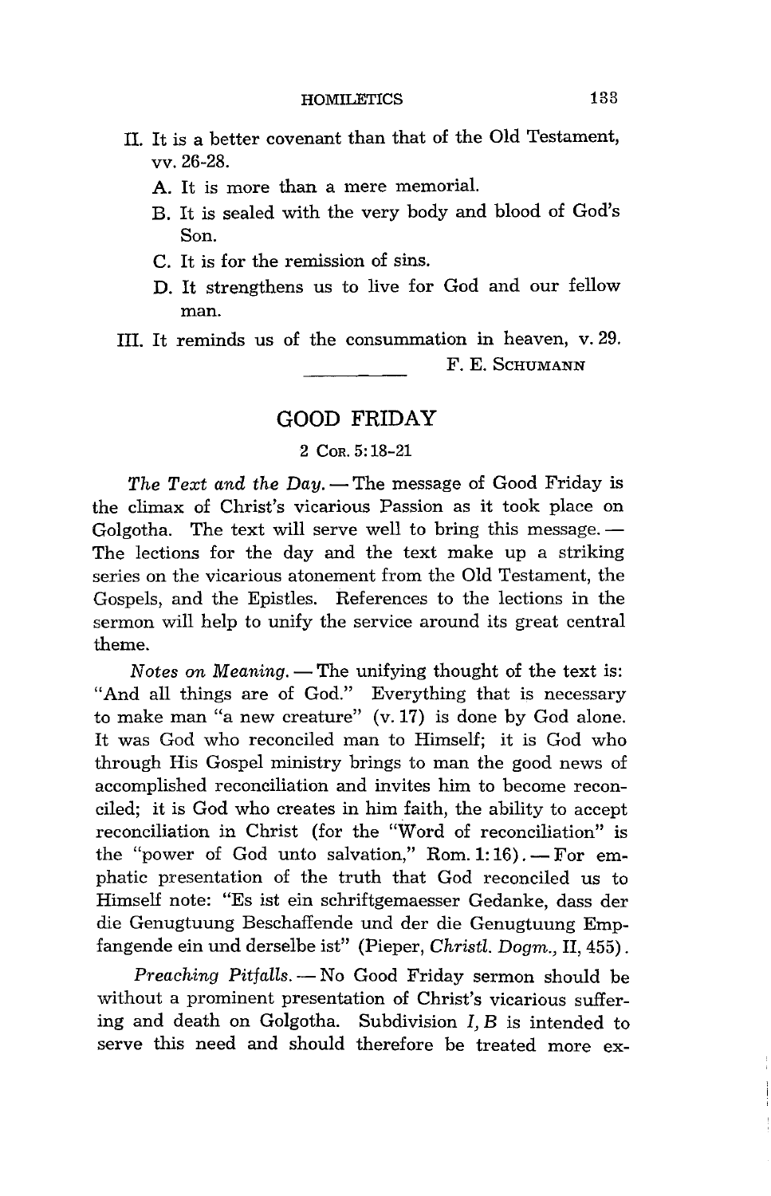- II. It is a better covenant than that of the Old Testament, vv.26-28.
	- A. It is more than a mere memorial.
	- B. It is sealed with the very body and blood of God's Son.
	- C. It is for the remission of sins.
	- D. It strengthens us to live for God and our fellow man.
- III. It reminds us of the consummation in heaven, v. 29. F. E. SCHUMANN

## **GOOD FRIDAY**

#### 2 COR. 5: 18-21

*The Text and the Day.* — The message of Good Friday is the climax of Christ's vicarious Passion as it took place on Golgotha. The text will serve well to bring this message.  $-$ The lections for the day and the text make up a striking series on the vicarious atonement from the Old Testament, the Gospels, and the Epistles. References to the lections in the sermon will help to unify the service around its great central theme.

*Notes on Meaning.* — The unifying thought of the text is: "And all things are of God." Everything that is necessary to make man "a new creature" (v. 17) is done by God alone. It was God who reconciled man to Himself; it is God who through His Gospel ministry brings to man the good news of accomplished reconciliation and invites him to become reconciled; it is God who creates in him faith, the ability to accept reconciliation in Christ (for the "Word of reconciliation" is the "power of God unto salvation," Rom.  $1:16$ ). -- For emphatic presentation of the truth that God reconciled us to Himself note: "Es ist ein schriftgemaesser Gedanke, dass der die Genugtuung Beschaffende und der die Genugtuung Empfangende ein und derselbe ist" (Pieper, *Christl. Dogm.,* II, 455) .

*Preaching Pitfalls.* - No Good Friday sermon should be without a prominent presentation of Christ's vicarious suffering and death on Golgotha. Subdivision I, B is intended to serve this need and should therefore be treated more ex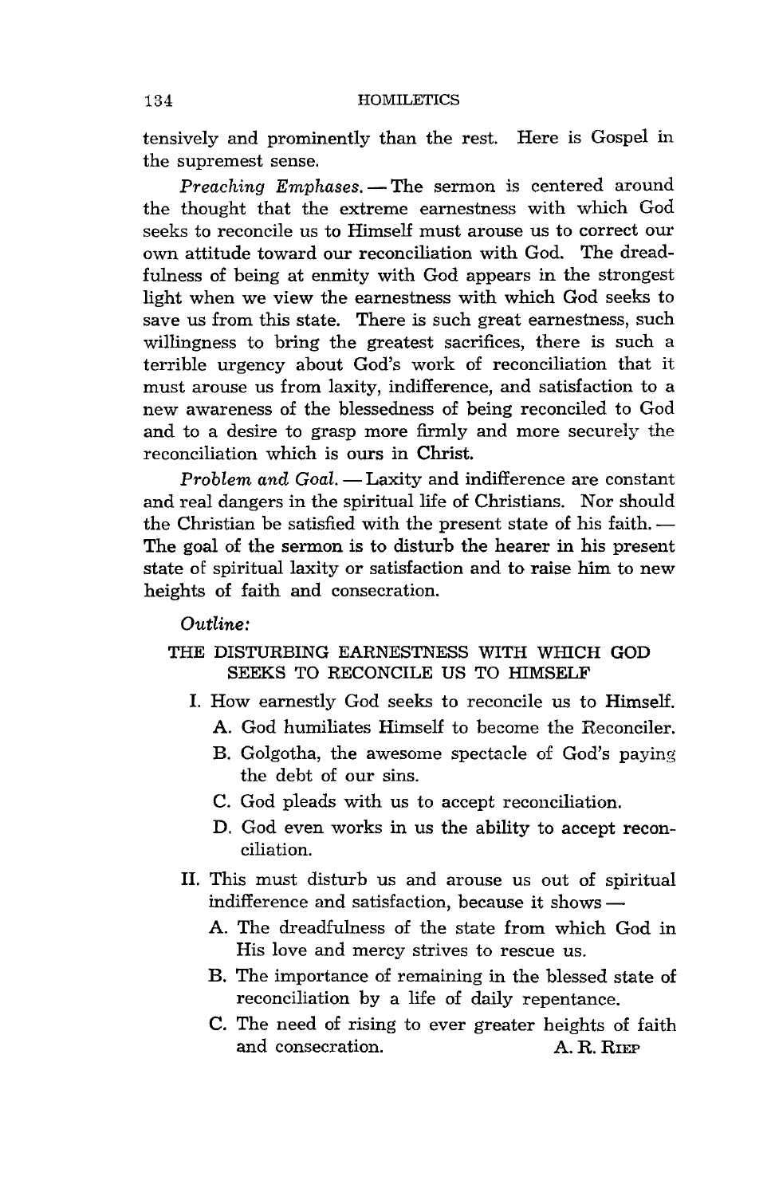tensively and prominently than the rest. Here is Gospel in the supremest sense.

*Preaching Emphases.* - The sermon is centered around the thought that the extreme earnestness with which God seeks to reconcile us to Himself must arouse us to correct our own attitude toward our reconciliation with God. The dreadfulness of being at enmity with God appears in the strongest light when we view the earnestness with which God seeks to save us from this state. There is such great earnestness, such willingness to bring the greatest sacrifices, there is such a terrible urgency about God's work of reconciliation that it must arouse us from laxity, indifference, and satisfaction to a new awareness of the blessedness of being reconciled to God and to a desire to grasp more firmly and more securely the reconciliation which is ours in Christ.

*Problem and Goal.* - Laxity and indifference are constant and real dangers in the spiritual life of Christians. Nor should the Christian be satisfied with the present state of his faith. -The goal of the sermon is to disturb the hearer in his present state of spiritual laxity or satisfaction and to raise him to new heights of faith and consecration.

*Outline:* 

## THE DISTURBING EARNESTNESS WITH WHICH GOD SEEKS TO RECONCILE US TO HIMSELF

- I. How earnestly God seeks to reconcile us to Himself.
	- A. God humiliates Himself to become the Reconciler.
	- B. Golgotha, the awesome spectacle of God's paying the debt of our sins.
	- C. God pleads with us to accept reconciliation.
	- D. God even works in us the ability to accept reconciliation.
- II. This must disturb us and arouse us out of spiritual indifference and satisfaction, because it shows  $-$ 
	- A. The dreadfulness of the state from which God in His love and mercy strives to rescue us.
	- B. The importance of remaining in the blessed state of reconciliation by a life of daily repentance.
	- C. The need of rising to ever greater heights of faith and consecration. A. R. RIEP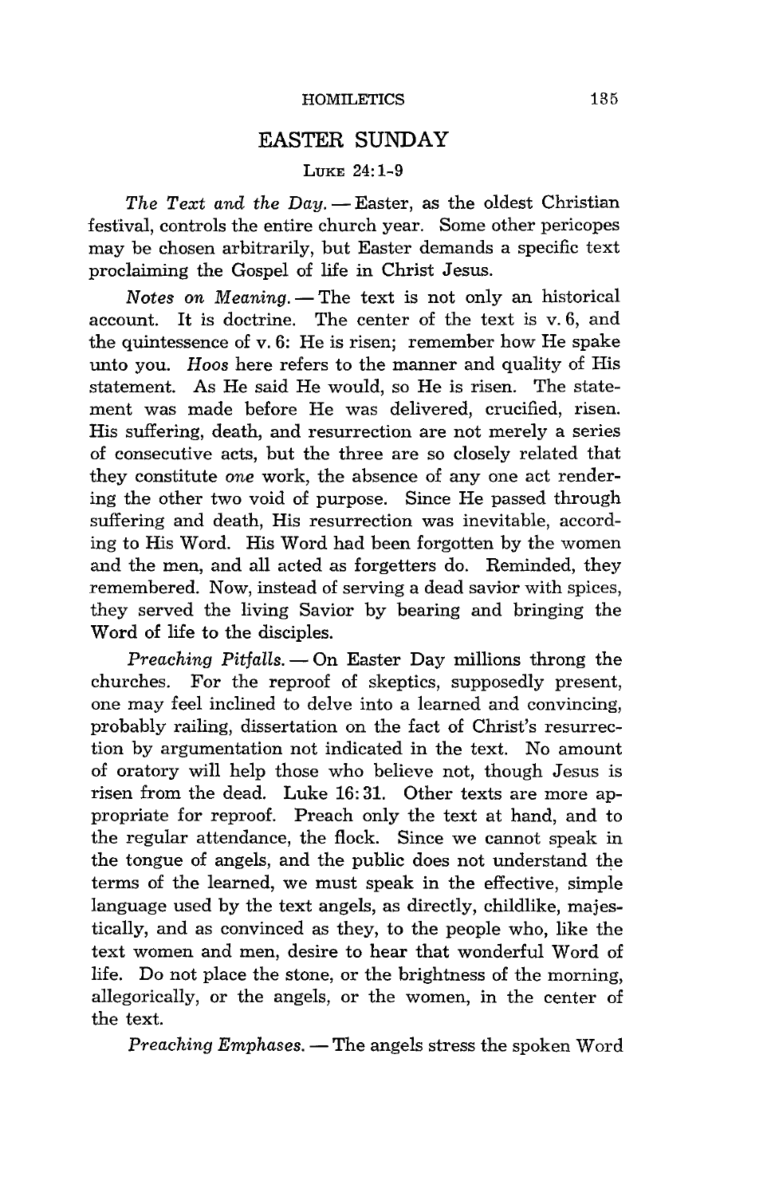## **EASTER SUNDAY**

#### LUKE 24:1-9

*The Text and the Day.* - Easter, as the oldest Christian festival, controls the entire church year. Some other pericopes may be chosen arbitrarily, but Easter demands a specific text proclaiming the Gospel of life in Christ Jesus.

*Notes on Meaning.* - The text is not only an historical account. It is doctrine. The center of the text is v. 6, and the quintessence of v. 6: He is risen; remember how He spake unto you. *Hoos* here refers to the manner and quality of His statement. As He said He would, so He is risen. The statement was made before He was delivered, crucified, risen. His suffering, death, and resurrection are not merely a series of consecutive acts, but the three are so closely related that they constitute *one* work, the absence of anyone act rendering the other two void of purpose. Since He passed through suffering and death, His resurrection was inevitable, according to His Word. His Word had been forgotten by the women and the men, and all acted as forgetters do. Reminded, they remembered. Now, instead of serving a dead savior with spices, they served the living Savior by bearing and bringing the Word of life to the disciples.

*Preaching Pitfalls.* — On Easter Day millions throng the churches. For the reproof of skeptics, supposedly present, one may feel inclined to delve into a learned and convincing, probably railing, dissertation on the fact of Christ's resurrection by argumentation not indicated in the text. No amount of oratory will help those who believe not, though Jesus is risen from the dead. Luke 16: 31. Other texts are more appropriate for reproof. Preach only the text at hand, and to the regular attendance, the flock. Since we cannot speak in the tongue of angels, and the public does not understand the terms of the learned, we must speak in the effective, simple language used by the text angels, as directly, childlike, majestically, and as convinced as they, to the people who, like the text women and men, desire to hear that wonderful Word of life. Do not place the stone, or the brightness of the morning, allegorically, or the angels, or the women, in the center of the text.

*Preaching Emphases.* — The angels stress the spoken Word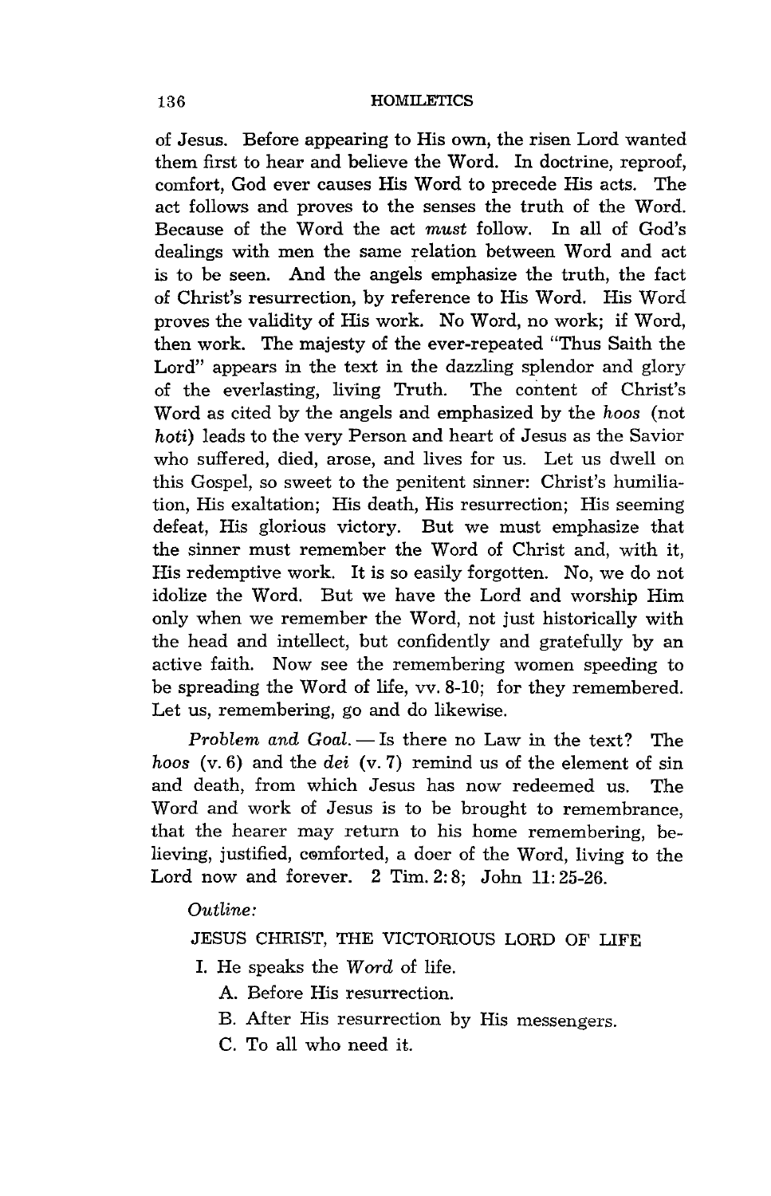of Jesus. Before appearing to His own, the risen Lord wanted them first to hear and believe the Word. In doctrine, reproof, comfort, God ever causes His Word to precede His acts. The act follows and proves to the senses the truth of the Word. Because of the Word the act *must* follow. In all of God's dealings with men the same relation between Word and act is to be seen. And the angels emphasize the truth, the fact of Christ's resurrection, by reference to His Word. His Word proves the validity of His work. No Word, no work; if Word, then work. The majesty of the ever-repeated "Thus Saith the Lord" appears in the text in the dazzling splendor and glory of the everlasting, living Truth. The content of Christ's Word as cited by the angels and emphasized by the *hoas* (not *hoti)* leads to the very Person and heart of Jesus as the Savior who suffered, died, arose, and lives for us. Let us dwell on this Gospel, so sweet to the penitent sinner: Christ's humiliation, His exaltation; His death, His resurrection; His seeming defeat, His glorious victory. But we must emphasize that the sinner must remember the Word of Christ and, with it, His redemptive work. It is so easily forgotten. No, we do not idolize the Word. But we have the Lord and worship Him only when we remember the Word, not just historically with the head and intellect, but confidently and gratefully by an active faith. Now see the remembering women speeding to be spreading the Word of life, vv. 8-10; for they remembered. Let us, remembering, go and do likewise.

*Problem and Goal.* — Is there no Law in the text? The *hoos* (v. 6) and the *dei* (v. 7) remind us of the element of sin and death, from which Jesus has now redeemed us. The Word and work of Jesus is to be brought to remembrance, that the hearer may return to his home remembering, believing, justified, comforted, a doer of the Word, living to the Lord now and forever. 2 Tim. 2: 8; John 11: 25-26.

*Outline:* 

JESUS CHRIST, THE VICTORIOUS LORD OF LIFE

I. He speaks the *Word* of life.

A. Before His resurrection.

- B. After His resurrection by His messengers.
- C. To all who need it.